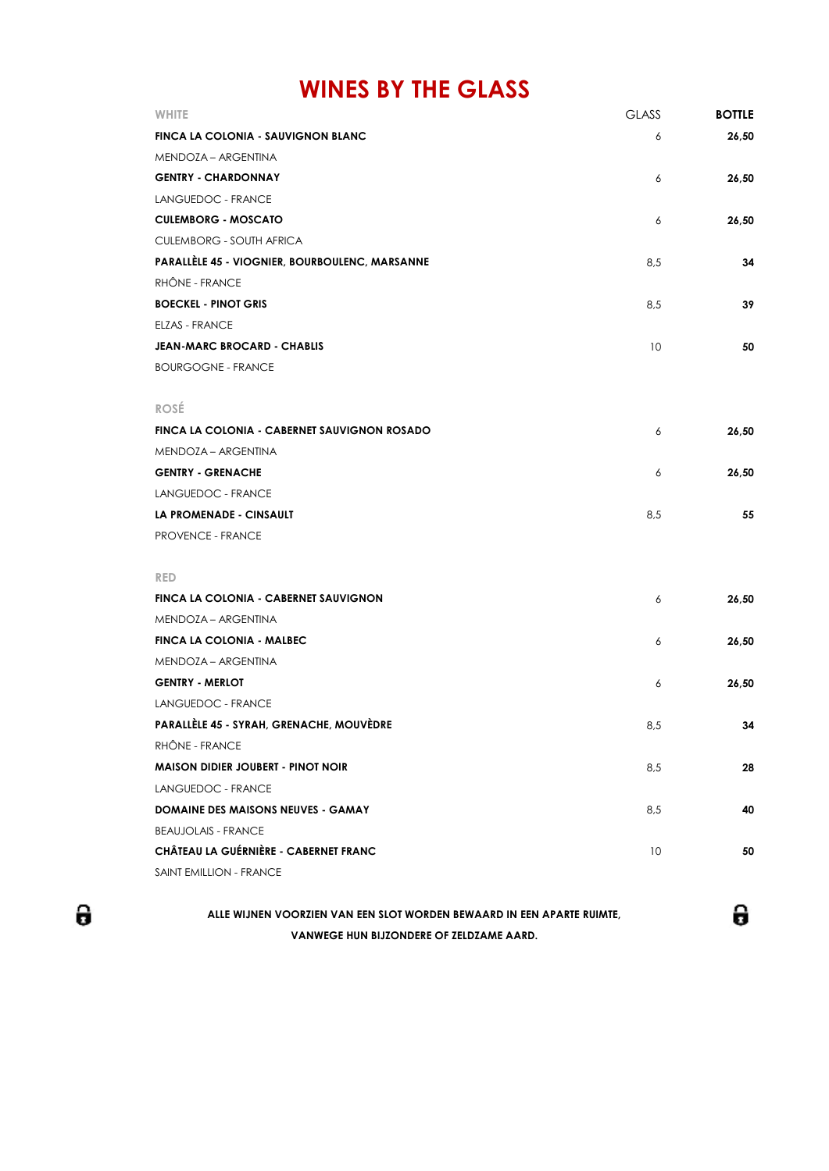## **WINES BY THE GLASS**

| WHITE                                                 | <b>GLASS</b> | <b>BOTTLE</b> |
|-------------------------------------------------------|--------------|---------------|
| FINCA LA COLONIA - SAUVIGNON BLANC                    | 6            | 26,50         |
| MENDOZA – ARGENTINA                                   |              |               |
| <b>GENTRY - CHARDONNAY</b>                            | 6            | 26,50         |
| LANGUEDOC - FRANCE                                    |              |               |
| <b>CULEMBORG - MOSCATO</b>                            | 6            | 26,50         |
| <b>CULEMBORG - SOUTH AFRICA</b>                       |              |               |
| <b>PARALLÈLE 45 - VIOGNIER, BOURBOULENC, MARSANNE</b> | 8,5          | 34            |
| RHÔNE - FRANCE                                        |              |               |
| <b>BOECKEL - PINOT GRIS</b>                           | 8,5          | 39            |
| <b>ELZAS - FRANCE</b>                                 |              |               |
| <b>JEAN-MARC BROCARD - CHABLIS</b>                    | 10           | 50            |
| <b>BOURGOGNE - FRANCE</b>                             |              |               |
|                                                       |              |               |
| <b>ROSÉ</b>                                           |              |               |
| FINCA LA COLONIA - CABERNET SAUVIGNON ROSADO          | 6            | 26,50         |
| MENDOZA – ARGENTINA                                   |              |               |
| <b>GENTRY - GRENACHE</b>                              | 6            | 26,50         |
| LANGUEDOC - FRANCE                                    |              |               |
| LA PROMENADE - CINSAULT                               | 8,5          | 55            |
| <b>PROVENCE - FRANCE</b>                              |              |               |
|                                                       |              |               |
| <b>RED</b>                                            |              |               |
| FINCA LA COLONIA - CABERNET SAUVIGNON                 | 6            | 26,50         |
| MENDOZA – ARGENTINA                                   |              |               |
| FINCA LA COLONIA - MALBEC                             | 6            | 26,50         |
| MENDOZA – ARGENTINA                                   |              |               |
| <b>GENTRY - MERLOT</b>                                | 6            | 26,50         |
| LANGUEDOC - FRANCE                                    |              |               |
| PARALLÈLE 45 - SYRAH, GRENACHE, MOUVÈDRE              | 8.5          | 34            |
| RHÔNE - FRANCE                                        |              |               |
| <b>MAISON DIDIER JOUBERT - PINOT NOIR</b>             | 8,5          | 28            |
| LANGUEDOC - FRANCE                                    |              |               |
| DOMAINE DES MAISONS NEUVES - GAMAY                    | 8,5          | 40            |
| <b>BEAUJOLAIS - FRANCE</b>                            |              |               |
| CHÂTEAU LA GUÉRNIÈRE - CABERNET FRANC                 | 10           | 50            |
| SAINT EMILLION - FRANCE                               |              |               |
|                                                       |              |               |

θ

**VANWEGE HUN BIJZONDERE OF ZELDZAME AARD. ALLE WIJNEN VOORZIEN VAN EEN SLOT WORDEN BEWAARD IN EEN APARTE RUIMTE,** θ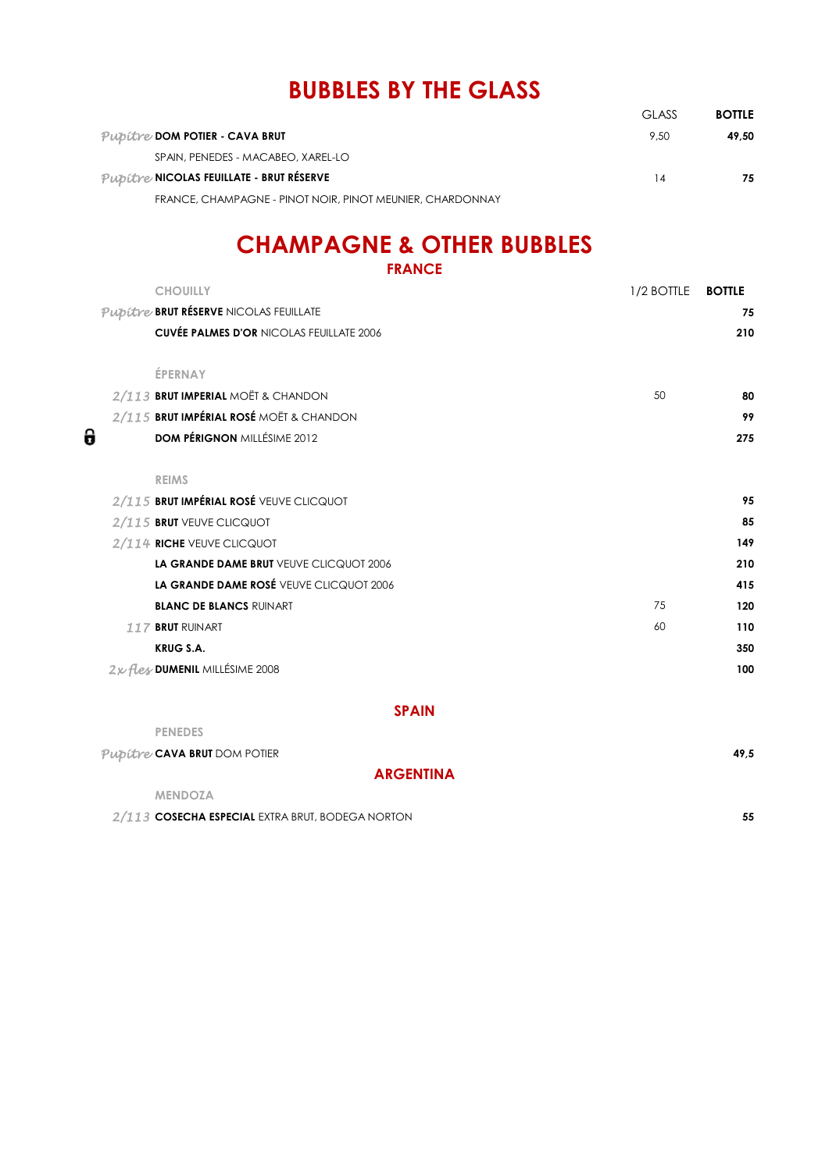## **BUBBLES BY THE GLASS**

|                                                           | GI ASS | <b>BOTTLE</b> |
|-----------------------------------------------------------|--------|---------------|
| Pubitre DOM POTIER - CAVA BRUT                            | 9.50   | 49.50         |
| SPAIN, PENEDES - MACABEO, XAREL-LO                        |        |               |
| Pubitre NICOLAS FEUILLATE - BRUT RÉSERVE                  | 14     | 75            |
| FRANCE, CHAMPAGNE - PINOT NOIR, PINOT MEUNIER, CHARDONNAY |        |               |

## **CHAMPAGNE & OTHER BUBBLES**

| <b>FRANCE</b>                                   |            |               |
|-------------------------------------------------|------------|---------------|
| <b>CHOUILLY</b>                                 | 1/2 BOTTLE | <b>BOTTLE</b> |
| Pupitre BRUT RÉSERVE NICOLAS FEUILLATE          |            | 75            |
| <b>CUVÉE PALMES D'OR NICOLAS FEUILLATE 2006</b> |            | 210           |
| ÉPERNAY                                         |            |               |
| 2/113 BRUT IMPERIAL MOËT & CHANDON              | 50         | 80            |
| 2/115 BRUT IMPÉRIAL ROSÉ MOËT & CHANDON         |            | 99            |
| <b>DOM PÉRIGNON MILLÉSIME 2012</b>              |            | 275           |
| <b>REIMS</b>                                    |            |               |
| 2/115 BRUT IMPÉRIAL ROSÉ VEUVE CLICQUOT         |            | 95            |
| 2/115 BRUT VEUVE CLICQUOT                       |            | 85            |
| 2/114 RICHE VEUVE CLICQUOT                      |            | 149           |
| LA GRANDE DAME BRUT VEUVE CLICQUOT 2006         |            | 210           |
| LA GRANDE DAME ROSÉ VEUVE CLICQUOT 2006         |            | 415           |
| <b>BLANC DE BLANCS RUINART</b>                  | 75         | 120           |
| 117 BRUT RUINART                                | 60         | 110           |
| <b>KRUG S.A.</b>                                |            | 350           |
| 2x fles DUMENIL MILLÉSIME 2008                  |            | 100           |

0

### **SPAIN**

| <b>PENEDES</b>                                   |      |
|--------------------------------------------------|------|
| Pupitre CAVA BRUT DOM POTIER                     | 49.5 |
| <b>ARGENTINA</b>                                 |      |
| <b>MENDOZA</b>                                   |      |
| 2/113 COSECHA ESPECIAL EXTRA BRUT, BODEGA NORTON | 55   |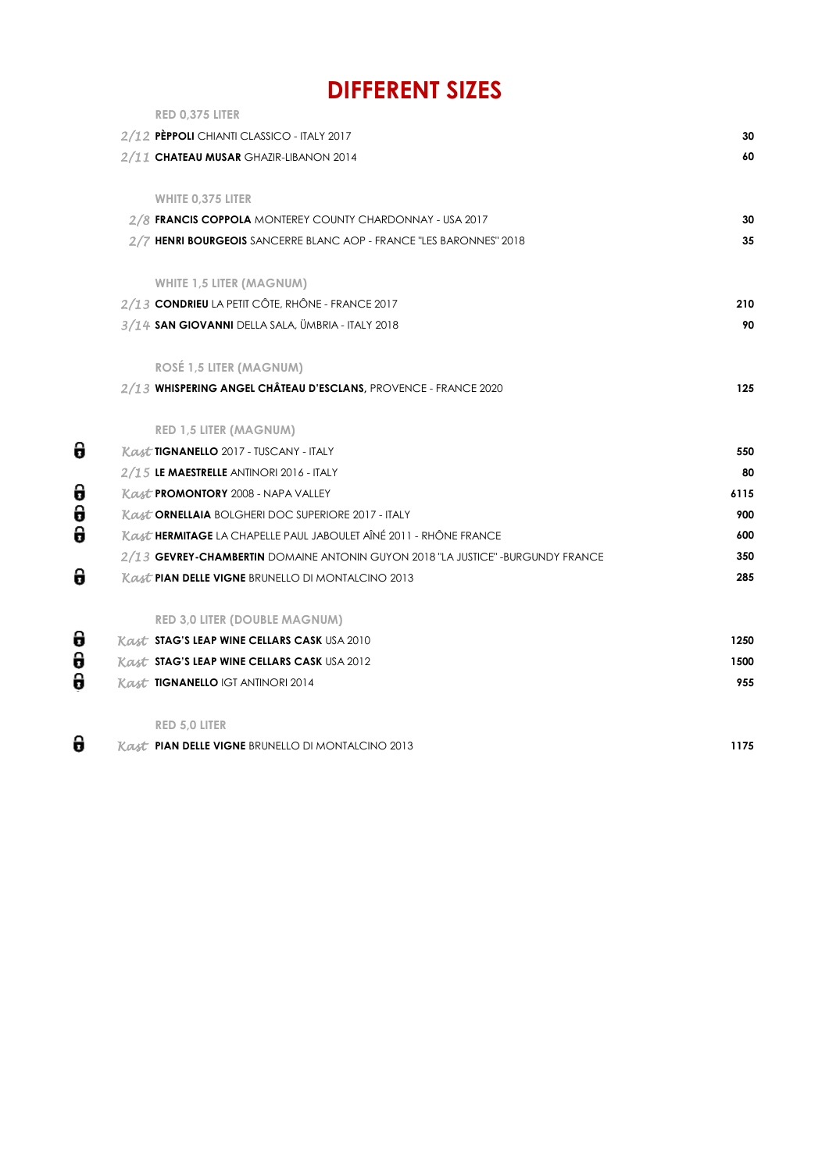## **DIFFERENT SIZES**

| RED 0,375 LITER                                                                  |      |
|----------------------------------------------------------------------------------|------|
| 2/12 PÈPPOLI CHIANTI CLASSICO - ITALY 2017                                       | 30   |
| 2/11 CHATEAU MUSAR GHAZIR-LIBANON 2014                                           | 60   |
| <b>WHITE 0,375 LITER</b>                                                         |      |
| 2/8 FRANCIS COPPOLA MONTEREY COUNTY CHARDONNAY - USA 2017                        | 30   |
| 2/7 HENRI BOURGEOIS SANCERRE BLANC AOP - FRANCE "LES BARONNES" 2018              | 35   |
| <b>WHITE 1,5 LITER (MAGNUM)</b>                                                  |      |
| 2/13 CONDRIEU LA PETIT CÔTE, RHÔNE - FRANCE 2017                                 | 210  |
| 3/14 SAN GIOVANNI DELLA SALA, ÜMBRIA - ITALY 2018                                | 90   |
| <b>ROSÉ 1,5 LITER (MAGNUM)</b>                                                   |      |
| 2/13 WHISPERING ANGEL CHÂTEAU D'ESCLANS, PROVENCE - FRANCE 2020                  | 125  |
| <b>RED 1,5 LITER (MAGNUM)</b>                                                    |      |
| Kast TIGNANELLO 2017 - TUSCANY - ITALY                                           | 550  |
| 2/15 LE MAESTRELLE ANTINORI 2016 - ITALY                                         | 80   |
| Kast PROMONTORY 2008 - NAPA VALLEY                                               | 6115 |
| Kast ORNELLAIA BOLGHERI DOC SUPERIORE 2017 - ITALY                               | 900  |
| Kast HERMITAGE LA CHAPELLE PAUL JABOULET AÎNÉ 2011 - RHÔNE FRANCE                | 600  |
| 2/13 GEVREY-CHAMBERTIN DOMAINE ANTONIN GUYON 2018 "LA JUSTICE" - BURGUNDY FRANCE | 350  |
| <b>Kast PIAN DELLE VIGNE BRUNELLO DI MONTALCINO 2013</b>                         | 285  |
| <b>RED 3,0 LITER (DOUBLE MAGNUM)</b>                                             |      |
| <b>Kast STAG'S LEAP WINE CELLARS CASK USA 2010</b>                               | 1250 |
| <b>Kast STAG'S LEAP WINE CELLARS CASK USA 2012</b>                               | 1500 |
| <b>Kast TIGNANELLO IGT ANTINORI 2014</b>                                         | 955  |
| <b>RED 5,0 LITER</b>                                                             |      |
|                                                                                  |      |

 $\theta$ *Kast* **PIAN DELLE VIGNE** BRUNELLO DI MONTALCINO 2013 **1175**

 $\theta$ 

 $\frac{1}{2}$ 

 $\theta$ 

 $\frac{1}{9}$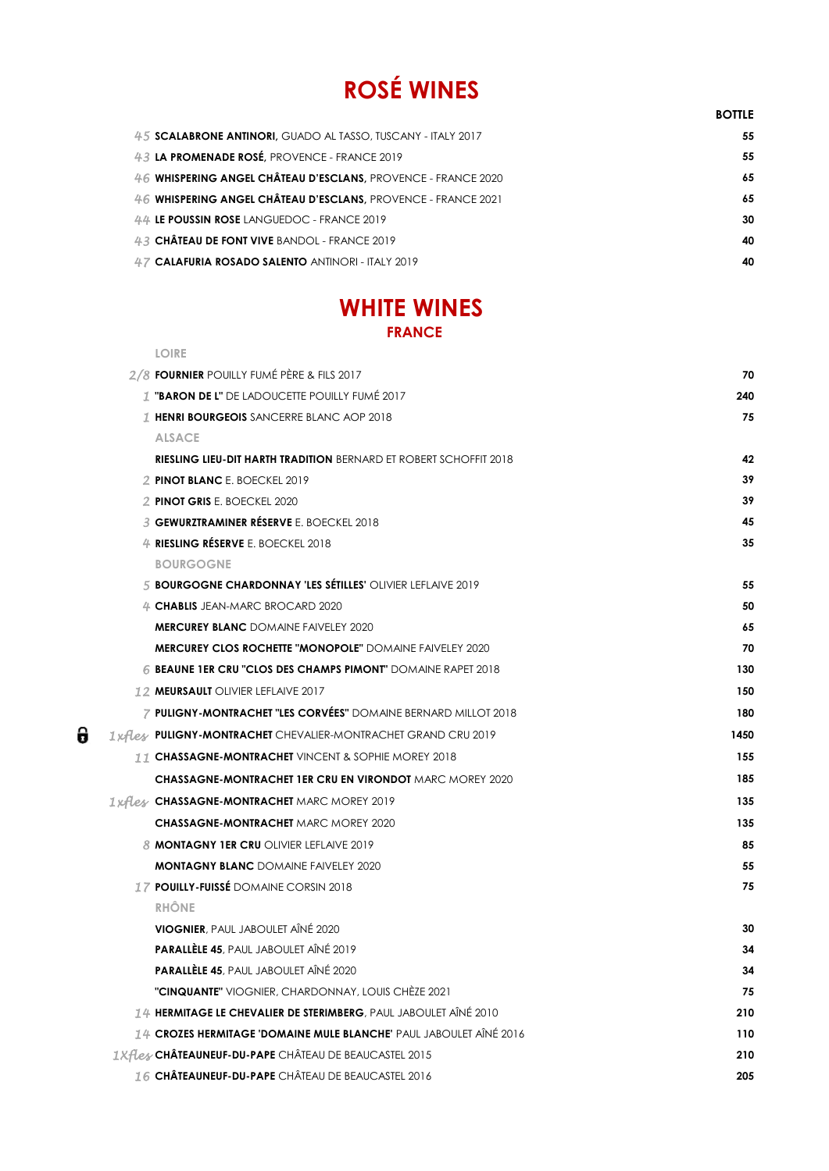# **ROSÉ WINES**

|                                                               | <b>BOTTLE</b> |
|---------------------------------------------------------------|---------------|
| 45 SCALABRONE ANTINORI, GUADO AL TASSO, TUSCANY - ITALY 2017  | 55            |
| 43 LA PROMENADE ROSÉ, PROVENCE - FRANCE 2019                  | 55            |
| 46 WHISPERING ANGEL CHÂTEAU D'ESCLANS, PROVENCE - FRANCE 2020 | 65            |
| 46 WHISPERING ANGEL CHÂTEAU D'ESCLANS. PROVENCE - FRANCE 2021 | 65            |
| 44 LE POUSSIN ROSE LANGUEDOC - FRANCE 2019                    | 30            |
| 43 CHÂTEAU DE FONT VIVE BANDOL - FRANCE 2019                  | 40            |
| 47 CALAFURIA ROSADO SALENTO ANTINORI - ITALY 2019             | 40            |
|                                                               |               |

## **WHITE WINES FRANCE**

| <b>LOIRE</b>                                                             |      |
|--------------------------------------------------------------------------|------|
| 2/8 FOURNIER POUILLY FUMÉ PÈRE & FILS 2017                               | 70   |
| <b>1 "BARON DE L"</b> DE LADOUCETTE POUILLY FUMÉ 2017                    | 240  |
| 1 HENRI BOURGEOIS SANCERRE BLANC AOP 2018                                | 75   |
| <b>ALSACE</b>                                                            |      |
| <b>RIESLING LIEU-DIT HARTH TRADITION</b> BERNARD ET ROBERT SCHOFFIT 2018 | 42   |
| 2 PINOT BLANC E. BOECKEL 2019                                            | 39   |
| 2 PINOT GRIS E. BOECKEL 2020                                             | 39   |
| <b>3 GEWURZTRAMINER RÉSERVE E. BOECKEL 2018</b>                          | 45   |
| 4 RIESLING RÉSERVE E. BOECKEL 2018                                       | 35   |
| <b>BOURGOGNE</b>                                                         |      |
| 5 BOURGOGNE CHARDONNAY 'LES SÉTILLES' OLIVIER LEFLAIVE 2019              | 55   |
| 4 CHABLIS JEAN-MARC BROCARD 2020                                         | 50   |
| <b>MERCUREY BLANC DOMAINE FAIVELEY 2020</b>                              | 65   |
| <b>MERCUREY CLOS ROCHETTE "MONOPOLE"</b> DOMAINE FAIVELEY 2020           | 70   |
| 6 BEAUNE 1ER CRU "CLOS DES CHAMPS PIMONT" DOMAINE RAPET 2018             | 130  |
| 12 MEURSAULT OLIVIER LEFLAIVE 2017                                       | 150  |
| <b>7 PULIGNY-MONTRACHET "LES CORVÉES"</b> DOMAINE BERNARD MILLOT 2018    | 180  |
| 1 xflex PULIGNY-MONTRACHET CHEVALIER-MONTRACHET GRAND CRU 2019           | 1450 |
| 11 CHASSAGNE-MONTRACHET VINCENT & SOPHIE MOREY 2018                      | 155  |
| <b>CHASSAGNE-MONTRACHET 1ER CRU EN VIRONDOT MARC MOREY 2020</b>          | 185  |
| 1xfles CHASSAGNE-MONTRACHET MARC MOREY 2019                              | 135  |
| <b>CHASSAGNE-MONTRACHET MARC MOREY 2020</b>                              | 135  |
| <b>8 MONTAGNY 1ER CRU OLIVIER LEFLAIVE 2019</b>                          | 85   |
| <b>MONTAGNY BLANC DOMAINE FAIVELEY 2020</b>                              | 55   |
| 17 POUILLY-FUISSÉ DOMAINE CORSIN 2018                                    | 75   |
| <b>RHÔNE</b>                                                             |      |
| <b>VIOGNIER</b> , PAUL JABOULET AÎNÉ 2020                                | 30   |
| PARALLÈLE 45, PAUL JABOULET AÎNÉ 2019                                    | 34   |
| <b>PARALLÈLE 45</b> , PAUL JABOULET AINE 2020                            | 34   |
| <b>"CINQUANTE"</b> VIOGNIER, CHARDONNAY, LOUIS CHÈZE 2021                | 75   |
| 14 HERMITAGE LE CHEVALIER DE STERIMBERG, PAUL JABOULET AÎNÉ 2010         | 210  |
| 14 CROZES HERMITAGE 'DOMAINE MULE BLANCHE' PAUL JABOULET AÎNÉ 2016       | 110  |
| <i><b>1Xfles</b></i> CHÂTEAUNEUF-DU-PAPE CHÂTEAU DE BEAUCASTEL 2015      | 210  |
| 16 CHÂTEAUNEUF-DU-PAPE CHÂTEAU DE BEAUCASTEL 2016                        | 205  |

 $\pmb{\theta}$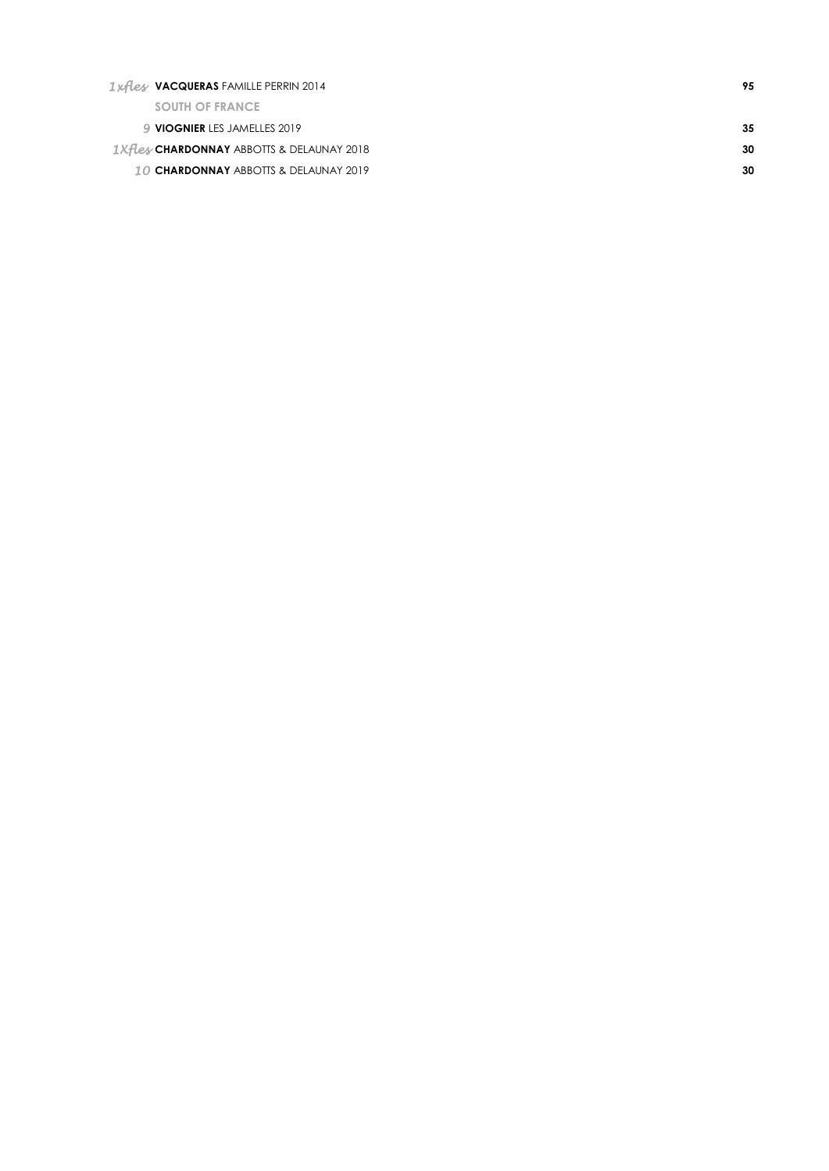| <i><b>Ixflex VACQUERAS FAMILLE PERRIN 2014</b></i>          | 95  |
|-------------------------------------------------------------|-----|
| <b>SOUTH OF FRANCE</b>                                      |     |
| 9 VIOGNIER LES JAMELLES 2019                                | -35 |
| <i><b>IXFLex CHARDONNAY ABBOTTS &amp; DELAUNAY 2018</b></i> | 30  |
| <b>10 CHARDONNAY ABBOTTS &amp; DELAUNAY 2019</b>            | 30  |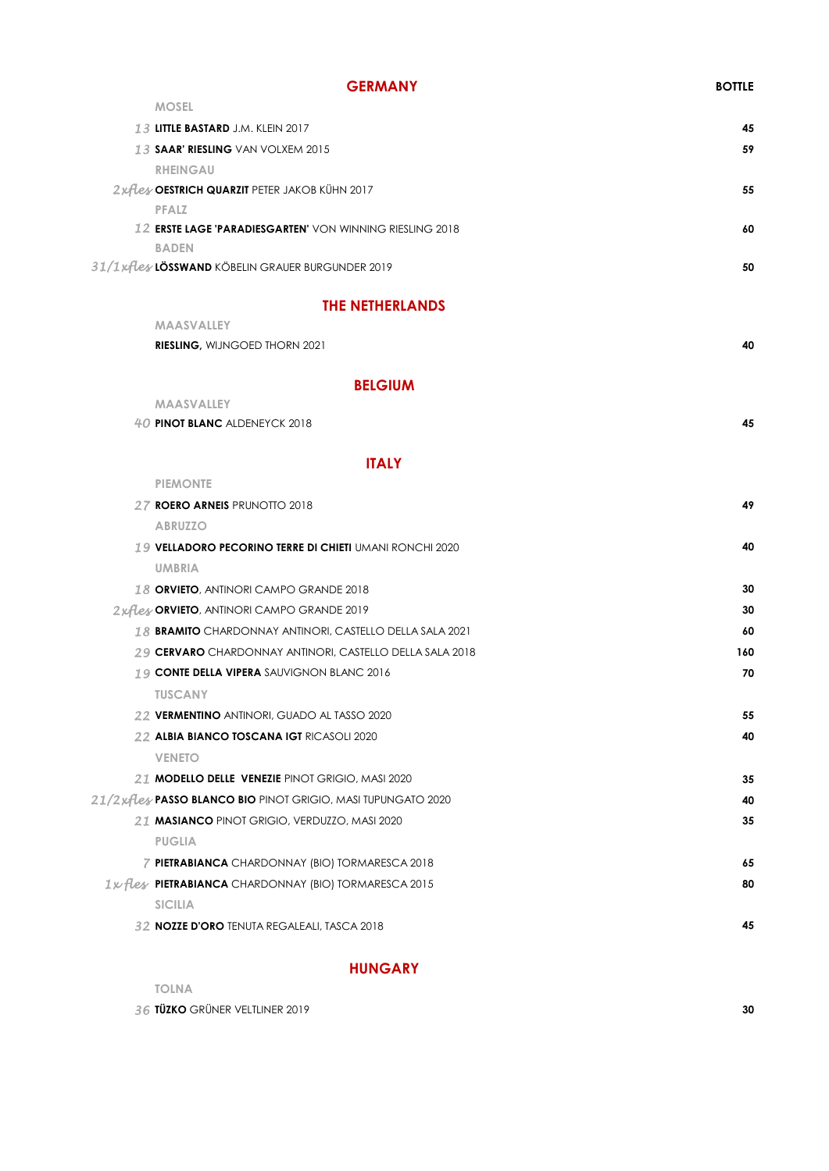| <b>GERMANY</b>                                                  | <b>BOTTLE</b> |
|-----------------------------------------------------------------|---------------|
| <b>MOSEL</b>                                                    |               |
| 13 LITTLE BASTARD J.M. KLEIN 2017                               | 45            |
| 13 SAAR' RIESLING VAN VOLXEM 2015                               | 59            |
| <b>RHEINGAU</b>                                                 |               |
| 2xfles OESTRICH QUARZIT PETER JAKOB KÜHN 2017                   | 55            |
| PFALZ                                                           |               |
| 12 <b>ERSTE LAGE 'PARADIESGARTEN'</b> VON WINNING RIESLING 2018 | 60            |
|                                                                 |               |

**BADEN** *31/1xfles* **LÖSSWAND** KÖBELIN GRAUER BURGUNDER 2019 **50**

### **THE NETHERLANDS**

| <b>MAASVALLEY</b>                                               |     |
|-----------------------------------------------------------------|-----|
| RIESLING, WIJNGOED THORN 2021                                   | 40  |
| <b>BELGIUM</b>                                                  |     |
| <b>MAASVALLEY</b>                                               |     |
| 40 PINOT BLANC ALDENEYCK 2018                                   | 45  |
| <b>ITALY</b>                                                    |     |
| <b>PIEMONTE</b>                                                 |     |
| 27 ROERO ARNEIS PRUNOTTO 2018                                   | 49  |
| <b>ABRUZZO</b>                                                  |     |
| 19 VELLADORO PECORINO TERRE DI CHIETI UMANI RONCHI 2020         | 40  |
| <b>UMBRIA</b>                                                   |     |
| 18 ORVIETO, ANTINORI CAMPO GRANDE 2018                          | 30  |
| 2xflex ORVIETO, ANTINORI CAMPO GRANDE 2019                      | 30  |
| 18 <b>BRAMITO</b> CHARDONNAY ANTINORI, CASTELLO DELLA SALA 2021 | 60  |
| 29 CERVARO CHARDONNAY ANTINORI, CASTELLO DELLA SALA 2018        | 160 |
| 19 CONTE DELLA VIPERA SAUVIGNON BLANC 2016                      | 70  |
| <b>TUSCANY</b>                                                  |     |
| 22 VERMENTINO ANTINORI, GUADO AL TASSO 2020                     | 55  |
| 22 ALBIA BIANCO TOSCANA IGT RICASOLI 2020                       | 40  |
| <b>VENETO</b>                                                   |     |
| 21 MODELLO DELLE VENEZIE PINOT GRIGIO, MASI 2020                | 35  |
| 21/2xflex PASSO BLANCO BIO PINOT GRIGIO, MASI TUPUNGATO 2020    | 40  |
| 21 MASIANCO PINOT GRIGIO, VERDUZZO, MASI 2020                   | 35  |
| <b>PUGLIA</b>                                                   |     |
| 7 PIETRABIANCA CHARDONNAY (BIO) TORMARESCA 2018                 | 65  |
| 1x fless PIETRABIANCA CHARDONNAY (BIO) TORMARESCA 2015          | 80  |
| <b>SICILIA</b>                                                  |     |

*32* **NOZZE D'ORO** TENUTA REGALEALI, TASCA 2018 **45**

### **HUNGARY**

| <b>TOLNA</b>                   |    |
|--------------------------------|----|
| 36 TÜZKO GRÜNER VELTLINER 2019 | 30 |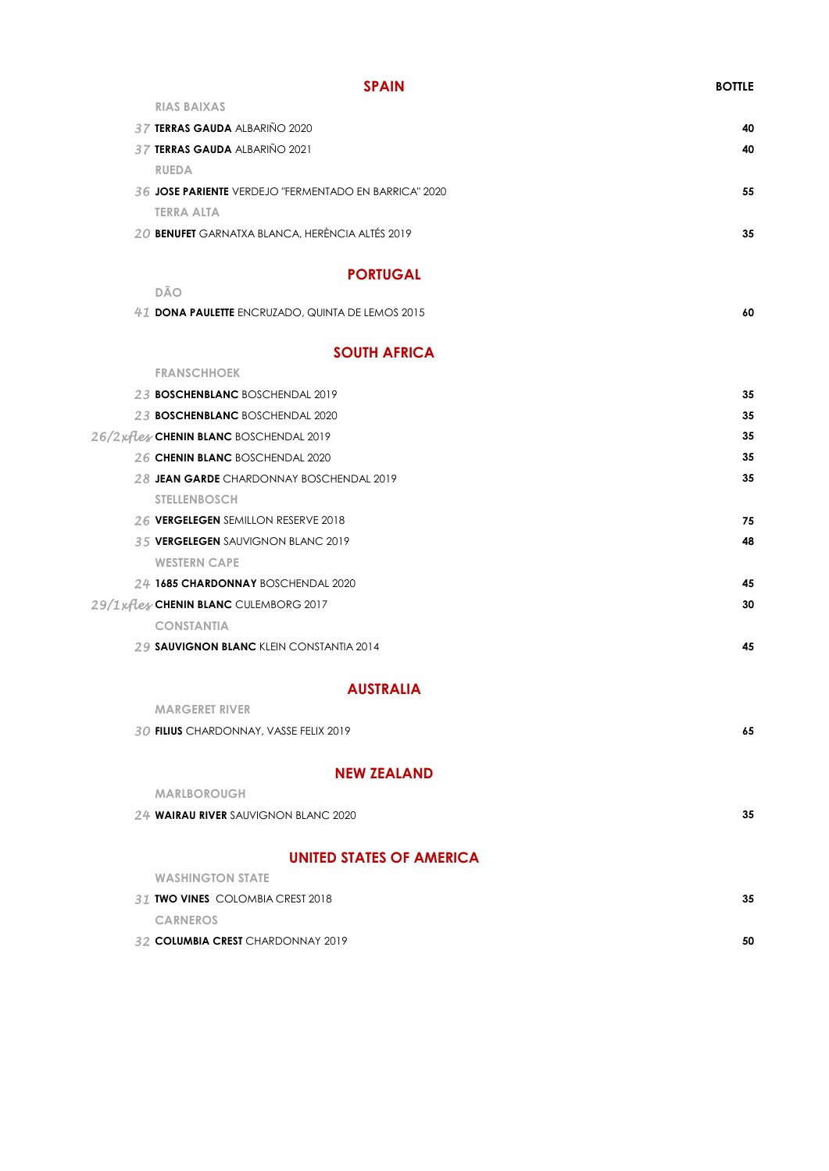### **SPAIN BOTTLE**

| <b>RIAS BAIXAS</b>                                    |    |
|-------------------------------------------------------|----|
| 37 TERRAS GAUDA ALBARIÑO 2020                         | 40 |
| 37 TERRAS GAUDA ALBARIÑO 2021                         | 40 |
| <b>RUEDA</b>                                          |    |
| 36 JOSE PARIENTE VERDEJO "FERMENTADO EN BARRICA" 2020 | 55 |
| <b>TERRA ALTA</b>                                     |    |
| 20 BENUFET GARNATXA BLANCA, HERÈNCIA ALTÉS 2019       | 35 |

### **PORTUGAL**

**DÃO**

| 41 DONA PAULETTE ENCRUZADO, QUINTA DE LEMOS 2015 |  |
|--------------------------------------------------|--|
|                                                  |  |

### **SOUTH AFRICA**

| <b>FRANSCHHOEK</b>                              |    |
|-------------------------------------------------|----|
| 23 <b>BOSCHENBLANC</b> BOSCHENDAL 2019          | 35 |
| 23 BOSCHENBLANC BOSCHENDAL 2020                 | 35 |
| 26/2xflex CHENIN BLANC BOSCHENDAL 2019          | 35 |
| 26 CHENIN BLANC BOSCHENDAL 2020                 | 35 |
| 28 JEAN GARDE CHARDONNAY BOSCHENDAL 2019        | 35 |
| <b>STELLENBOSCH</b>                             |    |
| 26 VERGELEGEN SEMILLON RESERVE 2018             | 75 |
| <b>35 VERGELEGEN SAUVIGNON BLANC 2019</b>       | 48 |
| <b>WESTERN CAPE</b>                             |    |
| 24 1685 CHARDONNAY BOSCHENDAL 2020              | 45 |
| 29/1 xflex CHENIN BLANC CULEMBORG 2017          | 30 |
| <b>CONSTANTIA</b>                               |    |
| <b>29 SAUVIGNON BLANC KLEIN CONSTANTIA 2014</b> | 45 |

### **AUSTRALIA**

| ALEM FEALAND                           |    |
|----------------------------------------|----|
| 30 FILIUS CHARDONNAY, VASSE FELIX 2019 | 65 |
| <b>MARGERET RIVER</b>                  |    |

#### **NEW ZEALAND**

| <b>MARLBOROUGH</b>                   |    |
|--------------------------------------|----|
| 24 WAIRAU RIVER SAUVIGNON BLANC 2020 | 35 |
| <b>UNITED STATES OF AMERICA</b>      |    |
| <b>WASHINGTON STATE</b>              |    |
| 31 TWO VINES COLOMBIA CREST 2018     | 35 |
| <b>CARNEROS</b>                      |    |
| 32 COLUMBIA CREST CHARDONNAY 2019    | 50 |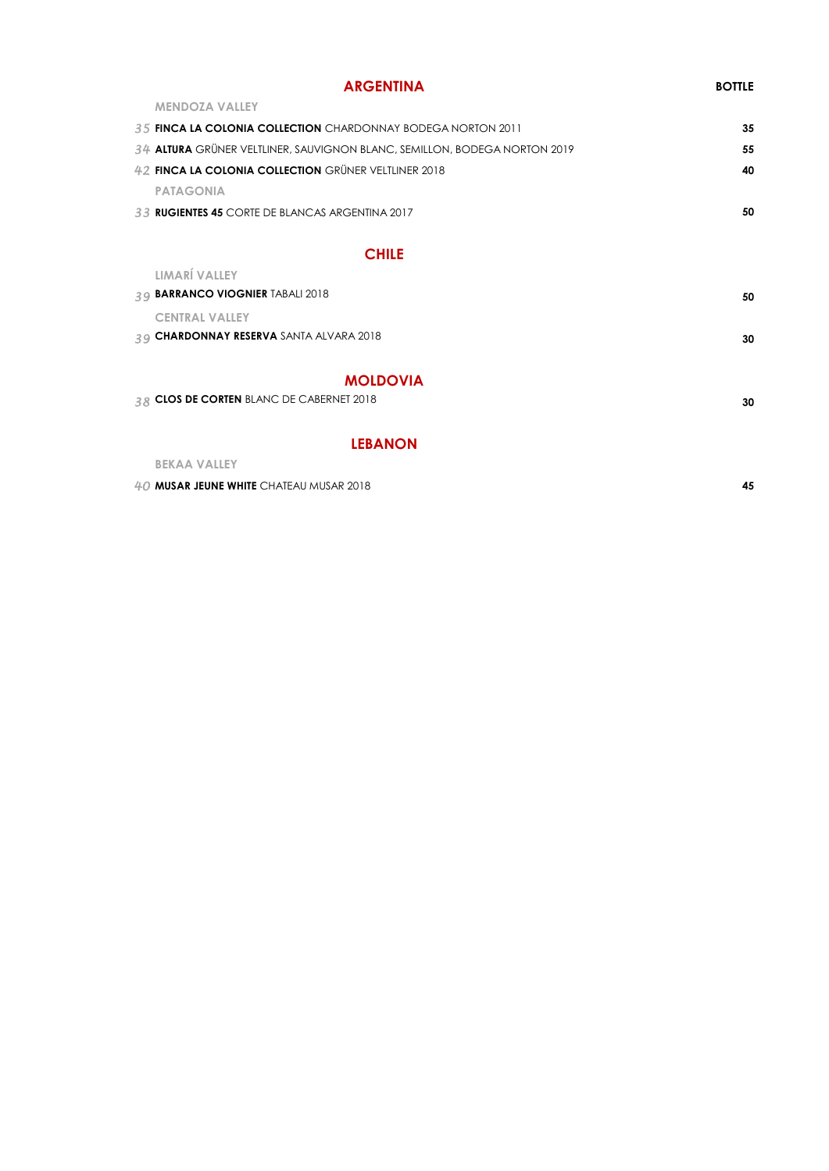### **ARGENTINA BOTTLE MENDOZA VALLEY** *35* **FINCA LA COLONIA COLLECTION** CHARDONNAY BODEGA NORTON 2011 **35** *34* **ALTURA** GRÜNER VELTLINER, SAUVIGNON BLANC, SEMILLON, BODEGA NORTON 2019 **55** *42* **FINCA LA COLONIA COLLECTION** GRÜNER VELTLINER 2018 **40 PATAGONIA** *33* **RUGIENTES 45** CORTE DE BLANCAS ARGENTINA 2017 **50 CHILE LIMARÍ VALLEY** *39* **BARRANCO VIOGNIER** TABALI 2018 **50 CENTRAL VALLEY** *39* **CHARDONNAY RESERVA** SANTA ALVARA 2018 **30**

### **MOLDOVIA**

| 38 CLOS DE CORTEN BLANC DE CABERNET 2018 | 30 |
|------------------------------------------|----|
|                                          |    |

### **LEBANON**

| BEKAA VALLEY                            |    |
|-----------------------------------------|----|
| 40 MUSAR JEUNE WHITE CHATEAU MUSAR 2018 | 45 |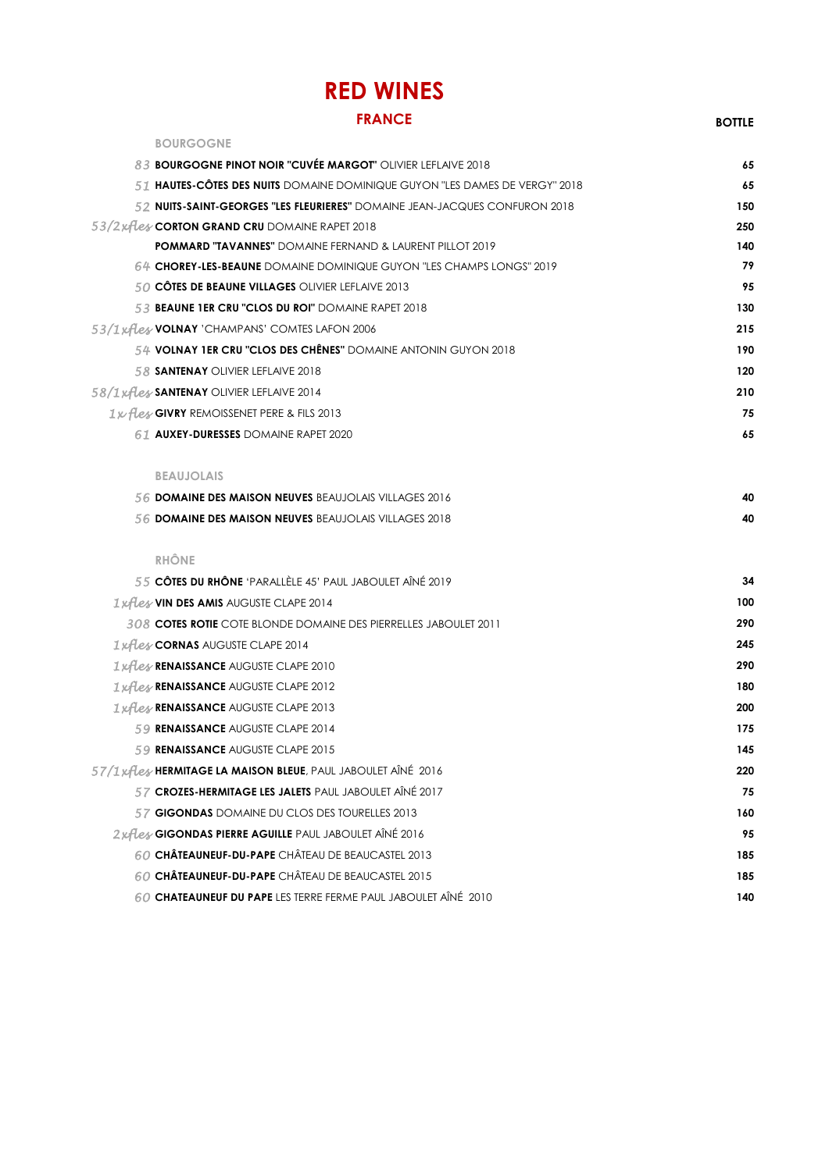## **RED WINES**

### **FRANCE BOTTLE**

| <b>BOURGOGNE</b>                                                                   |     |
|------------------------------------------------------------------------------------|-----|
| 8.3 BOURGOGNE PINOT NOIR "CUVÉE MARGOT" OLIVIER LEFLAIVE 2018                      | 65  |
| 51 <b>hautes-côtes des nuits</b> domaine dominique guyon "Les dames de Vergy" 2018 | 65  |
| 52 NUITS-SAINT-GEORGES "LES FLEURIERES" DOMAINE JEAN-JACQUES CONFURON 2018         | 150 |
| 53/2xfless CORTON GRAND CRU DOMAINE RAPET 2018                                     | 250 |
| <b>POMMARD "TAVANNES"</b> DOMAINE FERNAND & LAURENT PILLOT 2019                    | 140 |
| 64 CHOREY-LES-BEAUNE DOMAINE DOMINIQUE GUYON "LES CHAMPS LONGS" 2019               | 79  |
| 50 CÔTES DE BEAUNE VILLAGES OLIVIER LEFLAIVE 2013                                  | 95  |
| 53 BEAUNE 1ER CRU "CLOS DU ROI" DOMAINE RAPET 2018                                 | 130 |
| 53/1 xflex VOLNAY 'CHAMPANS' COMTES LAFON 2006                                     | 215 |
| 54 VOLNAY 1ER CRU "CLOS DES CHÊNES" DOMAINE ANTONIN GUYON 2018                     | 190 |
| 58 SANTENAY OLIVIER LEFLAIVE 2018                                                  | 120 |
| 58/1 xfless SANTENAY OLIVIER LEFLAIVE 2014                                         | 210 |
| 1x fless GIVRY REMOISSENET PERE & FILS 2013                                        | 75  |
| 61 AUXEY-DURESSES DOMAINE RAPET 2020                                               | 65  |
| <b>BEAUJOLAIS</b>                                                                  |     |
| 56 DOMAINE DES MAISON NEUVES BEAUJOLAIS VILLAGES 2016                              | 40  |
| 56 DOMAINE DES MAISON NEUVES BEAUJOLAIS VILLAGES 2018                              | 40  |
| <b>RHÔNE</b>                                                                       |     |
| 55 CÔTES DU RHÔNE 'PARALLÈLE 45' PAUL JABOULET AÎNÉ 2019                           | 34  |
| 1xfless VIN DES AMIS AUGUSTE CLAPE 2014                                            | 100 |
| <b>308 COTES ROTIE</b> COTE BLONDE DOMAINE DES PIERRELLES JABOULET 2011            | 290 |
| 1xfless CORNAS AUGUSTE CLAPE 2014                                                  | 245 |
| 1xfless RENAISSANCE AUGUSTE CLAPE 2010                                             | 290 |
| 1xfless RENAISSANCE AUGUSTE CLAPE 2012                                             | 180 |
| 1xfless RENAISSANCE AUGUSTE CLAPE 2013                                             | 200 |
| 59 <b>RENAISSANCE</b> AUGUSTE CLAPE 2014                                           | 175 |
| 59 RENAISSANCE AUGUSTE CLAPE 2015                                                  | 145 |
| 57/1 xfless HERMITAGE LA MAISON BLEUE, PAUL JABOULET AÎNÉ 2016                     | 220 |
| 57 CROZES-HERMITAGE LES JALETS PAUL JABOULET AÎNÉ 2017                             | 75  |
| 57 GIGONDAS DOMAINE DU CLOS DES TOURELLES 2013                                     | 160 |
| 2xflex GIGONDAS PIERRE AGUILLE PAUL JABOULET AINÉ 2016                             | 95  |
| 60 CHÂTEAUNEUF-DU-PAPE CHÂTEAU DE BEAUCASTEL 2013                                  | 185 |
| 60 CHÂTEAUNEUF-DU-PAPE CHÂTEAU DE BEAUCASTEL 2015                                  | 185 |
| 60 CHATEAUNEUF DU PAPE LES TERRE FERME PAUL JABOULET AÎNÉ 2010                     | 140 |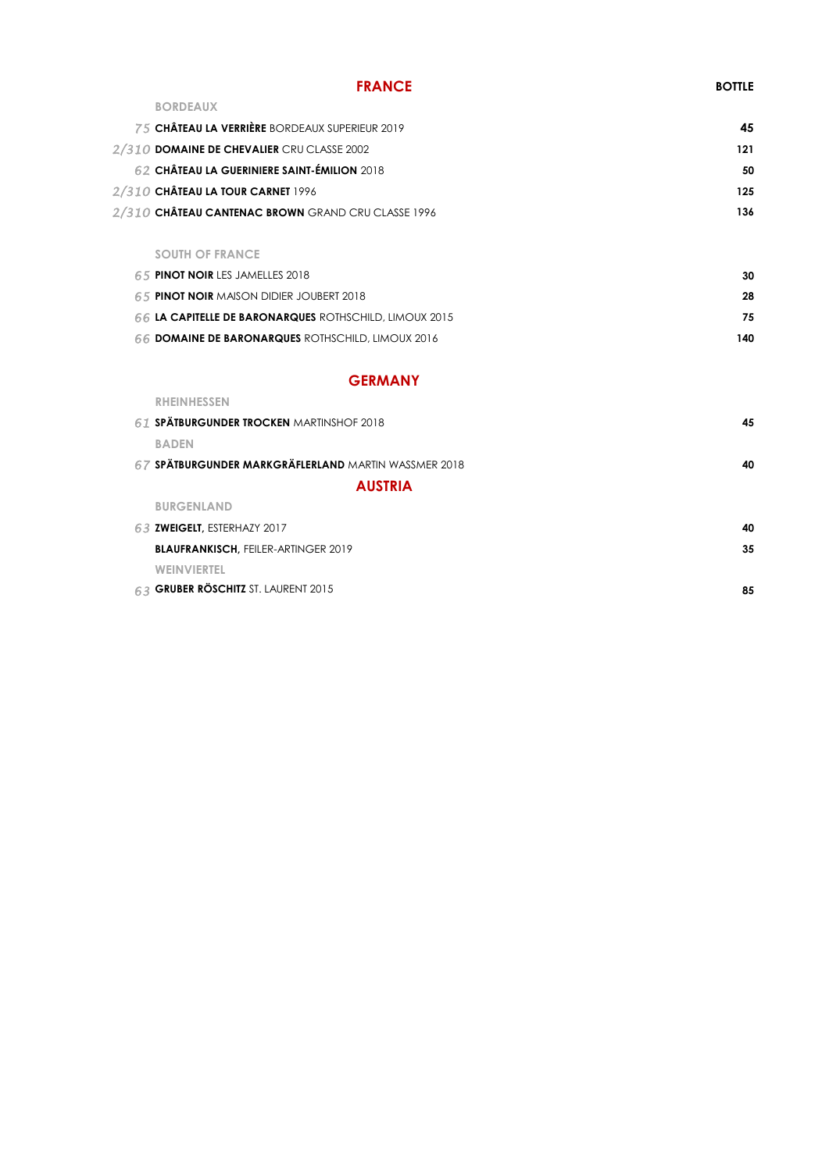| <b>FRANCE</b>                                      | <b>BOTTLE</b> |
|----------------------------------------------------|---------------|
| <b>BORDEAUX</b>                                    |               |
| 75 CHÂTEAU LA VERRIÈRE BORDEAUX SUPERIEUR 2019     | 45            |
| 2/310 DOMAINE DE CHEVALIER CRU CLASSE 2002         | 121           |
| 62 CHÂTEAU LA GUERINIERE SAINT-ÉMILION 2018        | 50            |
| 2/310 CHÂTEAU LA TOUR CARNET 1996                  | 125           |
| 2/310 CHÂTEAU CANTENAC BROWN GRAND CRU CLASSE 1996 | 136           |
|                                                    |               |

#### **SOUTH OF FRANCE**

| 65 <b>PINOT NOIR</b> LES JAMELLES 2018                        | 30  |
|---------------------------------------------------------------|-----|
| 65 <b>PINOT NOIR</b> MAISON DIDIER JOUBERT 2018               | 28  |
| <b>66 LA CAPITELLE DE BARONARQUES ROTHSCHILD, LIMOUX 2015</b> | 75  |
| <b>66 DOMAINE DE BARONARQUES ROTHSCHILD, LIMOUX 2016</b>      | 140 |

### **GERMANY**

| <b>RHEINHESSEN</b>                                   |    |
|------------------------------------------------------|----|
| 61 SPÄTBURGUNDER TROCKEN MARTINSHOF 2018             | 45 |
| <b>BADEN</b>                                         |    |
| 67 SPÄTBURGUNDER MARKGRÄFLERLAND MARTIN WASSMER 2018 | 40 |
| <b>AUSTRIA</b>                                       |    |
| <b>BURGENLAND</b>                                    |    |
| 63 ZWEIGELT, ESTERHAZY 2017                          | 40 |
| <b>BLAUFRANKISCH, FEILER-ARTINGER 2019</b>           | 35 |
| <b>WEINVIERTEL</b>                                   |    |
| 63 GRUBER RÖSCHITZ ST. LAURENT 2015                  | 85 |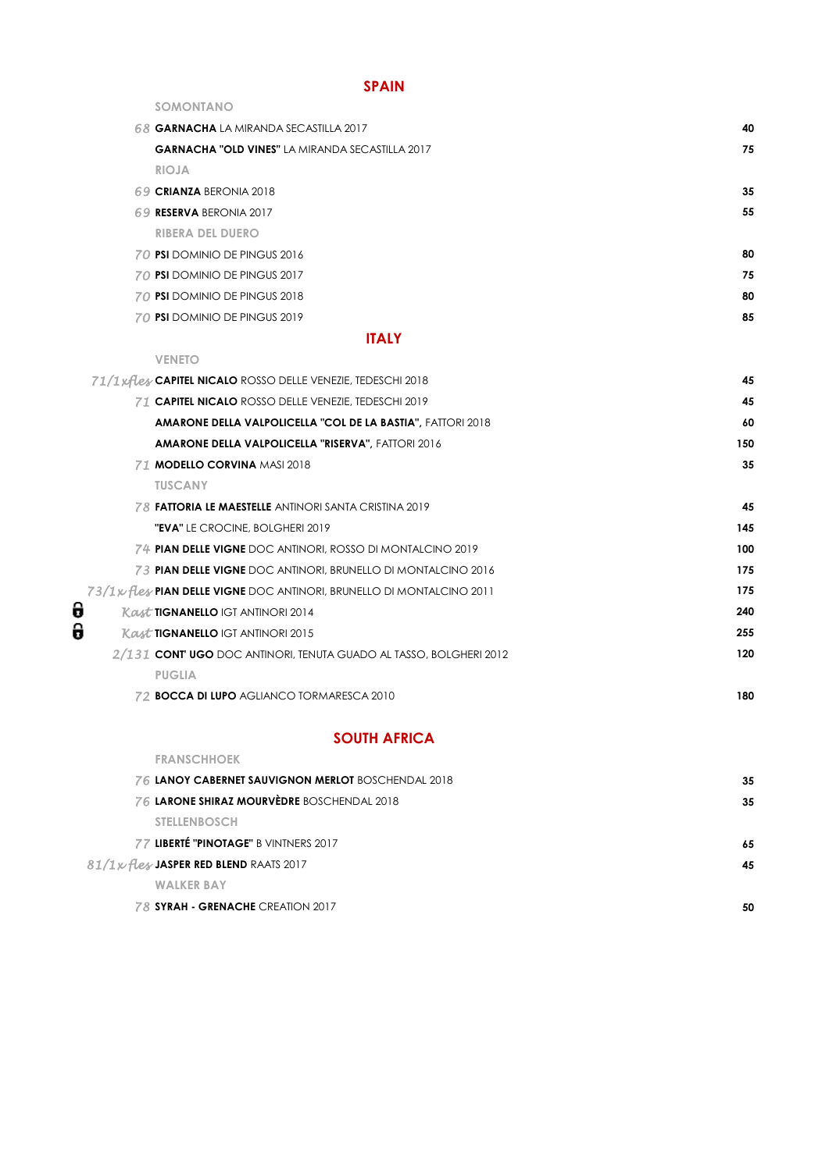### **SPAIN**

| SOMONTANO                                                            |     |
|----------------------------------------------------------------------|-----|
| 68 GARNACHA LA MIRANDA SECASTILLA 2017                               | 40  |
| <b>GARNACHA "OLD VINES" LA MIRANDA SECASTILLA 2017</b>               | 75  |
| <b>RIOJA</b>                                                         |     |
| 69 CRIANZA BERONIA 2018                                              | 35  |
| 69 RESERVA BERONIA 2017                                              | 55  |
| <b>RIBERA DEL DUERO</b>                                              |     |
| 70 PSI DOMINIO DE PINGUS 2016                                        | 80  |
| 70 PSI DOMINIO DE PINGUS 2017                                        | 75  |
| 70 PSI DOMINIO DE PINGUS 2018                                        | 80  |
| 70 PSI DOMINIO DE PINGUS 2019                                        | 85  |
| <b>ITALY</b>                                                         |     |
| <b>VENETO</b>                                                        |     |
| 71/1xfless CAPITEL NICALO ROSSO DELLE VENEZIE, TEDESCHI 2018         | 45  |
| <b>71 CAPITEL NICALO ROSSO DELLE VENEZIE, TEDESCHI 2019</b>          | 45  |
| <b>AMARONE DELLA VALPOLICELLA "COL DE LA BASTIA", FATTORI 2018</b>   | 60  |
| <b>AMARONE DELLA VALPOLICELLA "RISERVA", FATTORI 2016</b>            | 150 |
| 71 MODELLO CORVINA MASI 2018                                         | 35  |
| <b>TUSCANY</b>                                                       |     |
| <b>78 FATTORIA LE MAESTELLE</b> ANTINORI SANTA CRISTINA 2019         | 45  |
| "EVA" LE CROCINE, BOLGHERI 2019                                      | 145 |
| 74 PIAN DELLE VIGNE DOC ANTINORI, ROSSO DI MONTALCINO 2019           | 100 |
| <b>73 PIAN DELLE VIGNE</b> DOC ANTINORI, BRUNELLO DI MONTALCINO 2016 | 175 |
| 73/1 pHey PIAN DELLE VIGNE DOC ANTINORI, BRUNELLO DI MONTALCINO 2011 | 175 |
| <b>Kast TIGNANELLO IGT ANTINORI 2014</b>                             | 240 |
| <b>Kast TIGNANELLO IGT ANTINORI 2015</b>                             | 255 |
| 2/131 CONT UGO DOC ANTINORI, TENUTA GUADO AL TASSO, BOLGHERI 2012    | 120 |
| <b>PUGLIA</b>                                                        |     |
| 72 <b>BOCCA DI LUPO</b> AGLIANCO TORMARESCA 2010                     | 180 |

### **SOUTH AFRICA**

| <b>FRANSCHHOEK</b>                                        |    |
|-----------------------------------------------------------|----|
| <b>76 LANOY CABERNET SAUVIGNON MERLOT BOSCHENDAL 2018</b> | 35 |
| 76 LARONE SHIRAZ MOURVÈDRE BOSCHENDAL 2018                | 35 |
| <b>STELLENBOSCH</b>                                       |    |
| 77 LIBERTÉ "PINOTAGE" B VINTNERS 2017                     | 65 |
| 81/1x fless JASPER RED BLEND RAATS 2017                   | 45 |
| <b>WALKER BAY</b>                                         |    |
| 78 SYRAH - GRENACHE CREATION 2017                         | 50 |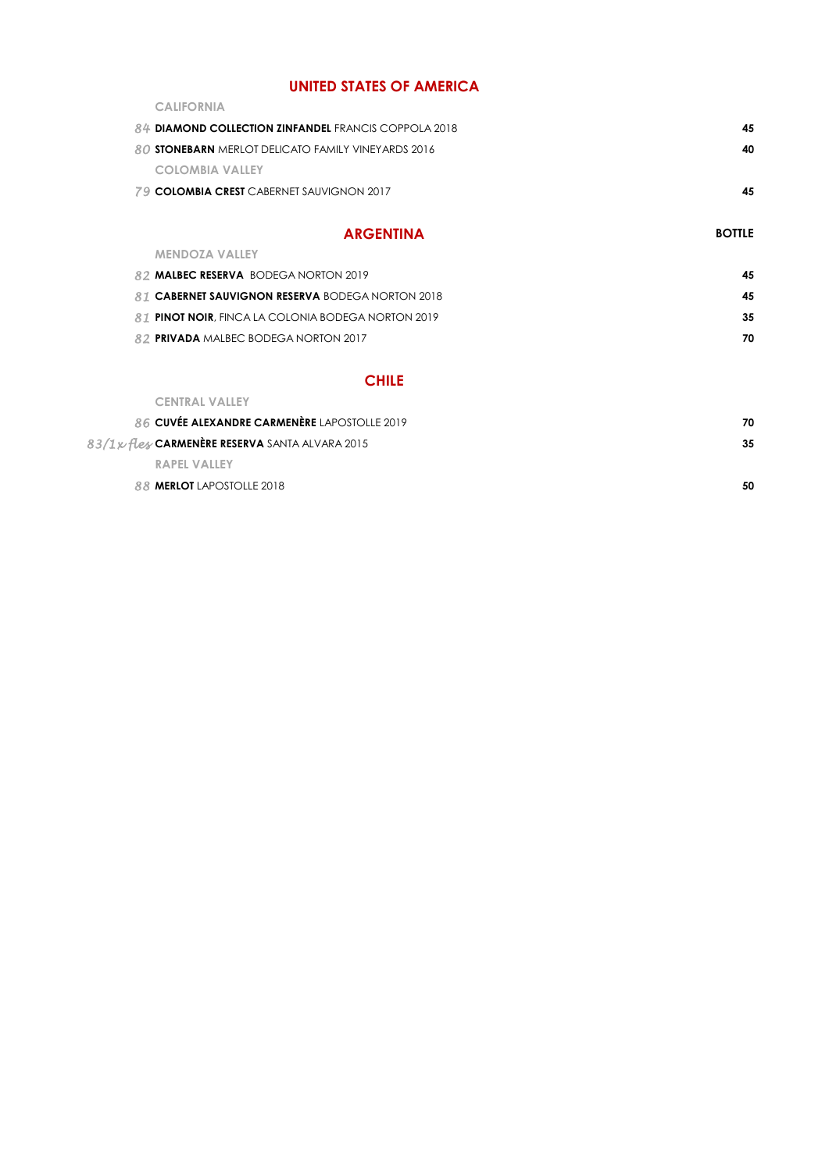### **UNITED STATES OF AMERICA**

| <b>CALIFORNIA</b>                                    |    |
|------------------------------------------------------|----|
| 84 DIAMOND COLLECTION ZINFANDEL FRANCIS COPPOLA 2018 | 45 |
| 80 STONEBARN MERLOT DELICATO FAMILY VINEYARDS 2016   | 40 |
| <b>COLOMBIA VALLEY</b>                               |    |
| 79 COLOMBIA CREST CABERNET SAUVIGNON 2017            | 45 |
|                                                      |    |

| <b>ARGENTINA</b>                                           | <b>BOTTLE</b> |
|------------------------------------------------------------|---------------|
| <b>MENDOZA VALLEY</b>                                      |               |
| 82 <b>MALBEC RESERVA</b> BODEGA NORTON 2019                | 45            |
| 81 CABERNET SAUVIGNON RESERVA BODEGA NORTON 2018           | 45            |
| 81 <b>PINOT NOIR</b> , FINCA LA COLONIA BODEGA NORTON 2019 | 35            |
| 82 <b>PRIVADA</b> MALBEC BODEGA NORTON 2017                | 70            |

### **CHILE**

| <b>CENTRAL VALLEY</b>                           |    |
|-------------------------------------------------|----|
| 86 CUVÉE ALEXANDRE CARMENÈRE LAPOSTOLLE 2019    | 70 |
| 83/1x fless CARMENÈRE RESERVA SANTA ALVARA 2015 | 35 |
| <b>RAPEL VALLEY</b>                             |    |
| 88 MERLOT LAPOSTOLLE 2018                       | 50 |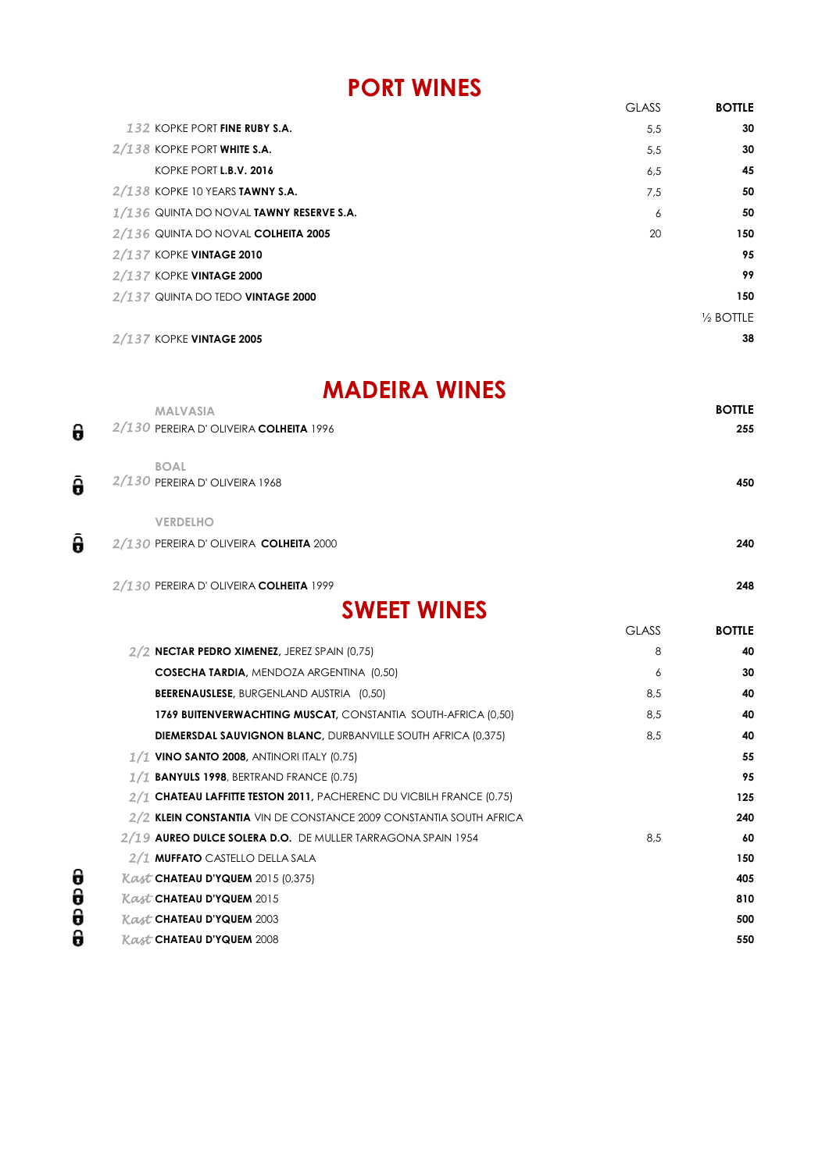## **PORT WINES**

|                                            | <b>GLASS</b> | <b>BOTTLE</b> |
|--------------------------------------------|--------------|---------------|
|                                            |              |               |
| 132 KOPKE PORT FINE RUBY S.A.              | 5,5          | 30            |
| $2/138$ KOPKE PORT WHITE S.A.              | 5,5          | 30            |
| KOPKE PORT L.B.V. 2016                     | 6,5          | 45            |
| $2/138$ KOPKE 10 YEARS TAWNY S.A.          | 7,5          | 50            |
| $1/136$ QUINTA DO NOVAL TAWNY RESERVE S.A. | 6            | 50            |
| 2/136 QUINTA DO NOVAL COLHEITA 2005        | 20           | 150           |
| 2/137 KOPKE VINTAGE 2010                   |              | 95            |
| 2/137 KOPKE VINTAGE 2000                   |              | 99            |
| 2/137 QUINTA DO TEDO VINTAGE 2000          |              | 150           |
|                                            |              | 1/2 BOTTLE    |
| 2/137 KOPKE VINTAGE 2005                   |              | 38            |

## **MADEIRA WINES**

|   | <b>MALVASIA</b>                        |              | <b>BOTTLE</b> |
|---|----------------------------------------|--------------|---------------|
| 0 | 2/130 PEREIRA D'OLIVEIRA COLHEITA 1996 |              | 255           |
|   | <b>BOAL</b>                            |              |               |
| 0 | 2/130 PEREIRA D'OLIVEIRA 1968          |              | 450           |
|   | <b>VERDELHO</b>                        |              |               |
| θ | 2/130 PEREIRA D'OLIVEIRA COLHEITA 2000 |              | 240           |
|   | 2/130 PEREIRA D'OLIVEIRA COLHEITA 1999 |              | 248           |
|   | <b>SWEET WINES</b>                     |              |               |
|   |                                        | <b>GLASS</b> | <b>BOTTLE</b> |
|   |                                        |              |               |

| $2/2$ NECTAR PEDRO XIMENEZ, JEREZ SPAIN (0,75)                       | 8   | 40  |
|----------------------------------------------------------------------|-----|-----|
| <b>COSECHA TARDIA, MENDOZA ARGENTINA (0,50)</b>                      | 6   | 30  |
| <b>BEERENAUSLESE, BURGENLAND AUSTRIA (0,50)</b>                      | 8.5 | 40  |
| 1769 BUITENVERWACHTING MUSCAT, CONSTANTIA SOUTH-AFRICA (0,50)        | 8,5 | 40  |
| <b>DIEMERSDAL SAUVIGNON BLANC, DURBANVILLE SOUTH AFRICA (0,375)</b>  | 8,5 | 40  |
| $1/1$ vino santo 2008, antinori italy (0.75)                         |     | 55  |
| $1/1$ BANYULS 1998, BERTRAND FRANCE (0.75)                           |     | 95  |
| 2/1 CHATEAU LAFFITTE TESTON 2011, PACHERENC DU VICBILH FRANCE (0.75) |     | 125 |
| 2/2 KLEIN CONSTANTIA VIN DE CONSTANCE 2009 CONSTANTIA SOUTH AFRICA   |     | 240 |
| 2/19 AUREO DULCE SOLERA D.O. DE MULLER TARRAGONA SPAIN 1954          | 8,5 | 60  |
| 2/1 <b>MUFFATO</b> CASTELLO DELLA SALA                               |     | 150 |
| <b>Kast CHATEAU D'YQUEM 2015 (0,375)</b>                             |     | 405 |
| <b>Kast CHATEAU D'YQUEM 2015</b>                                     |     | 810 |
| <b>Kast CHATEAU D'YQUEM 2003</b>                                     |     | 500 |
| <b>Kast CHATEAU D'YQUEM 2008</b>                                     |     | 550 |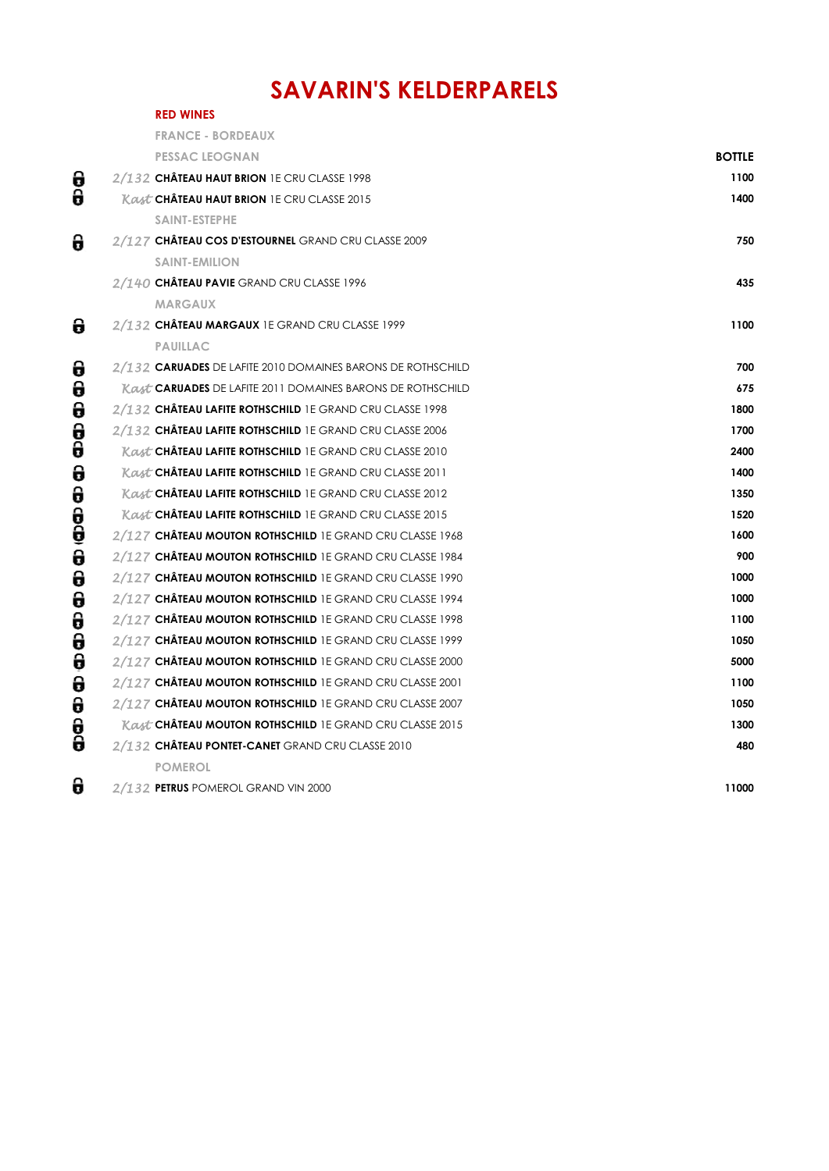## **SAVARIN'S KELDERPARELS**

|        | <b>RED WINES</b>                                                         |               |
|--------|--------------------------------------------------------------------------|---------------|
|        | <b>FRANCE - BORDEAUX</b>                                                 |               |
|        | <b>PESSAC LEOGNAN</b>                                                    | <b>BOTTLE</b> |
| θ      | 2/132 CHÂTEAU HAUT BRION 1E CRU CLASSE 1998                              | 1100          |
| 0      | <b>Kast CHÂTEAU HAUT BRION 1E CRU CLASSE 2015</b>                        | 1400          |
|        | <b>SAINT-ESTEPHE</b>                                                     |               |
| 8      | 2/127 CHÂTEAU COS D'ESTOURNEL GRAND CRU CLASSE 2009                      | 750           |
|        | <b>SAINT-EMILION</b>                                                     |               |
|        | 2/140 CHÂTEAU PAVIE GRAND CRU CLASSE 1996                                | 435           |
|        | <b>MARGAUX</b>                                                           |               |
| 8      | 2/132 CHÂTEAU MARGAUX 1E GRAND CRU CLASSE 1999                           | 1100          |
|        | <b>PAUILLAC</b>                                                          |               |
| 0      | 2/132 CARUADES DE LAFITE 2010 DOMAINES BARONS DE ROTHSCHILD              | 700           |
| 0      | <i>Kast</i> <b>CARUADES</b> DE LAFITE 2011 DOMAINES BARONS DE ROTHSCHILD | 675           |
| θ      | 2/132 CHÂTEAU LAFITE ROTHSCHILD 1E GRAND CRU CLASSE 1998                 | 1800          |
| θ      | 2/132 CHÂTEAU LAFITE ROTHSCHILD 1E GRAND CRU CLASSE 2006                 | 1700          |
| 0      | <b>Kast CHÂTEAU LAFITE ROTHSCHILD 1E GRAND CRU CLASSE 2010</b>           | 2400          |
| 0      | <b>Kast CHÂTEAU LAFITE ROTHSCHILD 1E GRAND CRU CLASSE 2011</b>           | 1400          |
| 0      | <b>Kast CHÂTEAU LAFITE ROTHSCHILD 1E GRAND CRU CLASSE 2012</b>           | 1350          |
| e<br>G | <b>Kast CHÂTEAU LAFITE ROTHSCHILD IE GRAND CRU CLASSE 2015</b>           | 1520          |
|        | 2/127 <b>Château Mouton Rothschild</b> 1E Grand Cru Classe 1968          | 1600          |
| θ      | 2/127 <b>Château Mouton Rothschild</b> 1E Grand Cru Classe 1984          | 900           |
| θ      | 2/127 <b>Château Mouton Rothschild</b> 1E Grand Cru Classe 1990          | 1000          |
| θ      | 2/127 <b>Château Mouton Rothschild</b> 1E Grand Cru Classe 1994          | 1000          |
| 0      | 2/127 <b>Château Mouton Rothschild</b> 1E Grand Cru Classe 1998          | 1100          |
| θ      | 2/127 CHÂTEAU MOUTON ROTHSCHILD 1E GRAND CRU CLASSE 1999                 | 1050          |
| θ      | 2/127 CHÂTEAU MOUTON ROTHSCHILD 1E GRAND CRU CLASSE 2000                 | 5000          |
| θ      | 2/127 <b>Château Mouton Rothschild</b> 1E Grand Cru Classe 2001          | 1100          |
| 0      | 2/127 CHÂTEAU MOUTON ROTHSCHILD 1E GRAND CRU CLASSE 2007                 | 1050          |
| θ      | <b>Kast CHATEAU MOUTON ROTHSCHILD 1E GRAND CRU CLASSE 2015</b>           | 1300          |
| 0      | 2/132 CHÂTEAU PONTET-CANET GRAND CRU CLASSE 2010                         | 480           |
|        | <b>POMEROL</b>                                                           |               |
| 0      | 2/132 PETRUS POMEROL GRAND VIN 2000                                      | 11000         |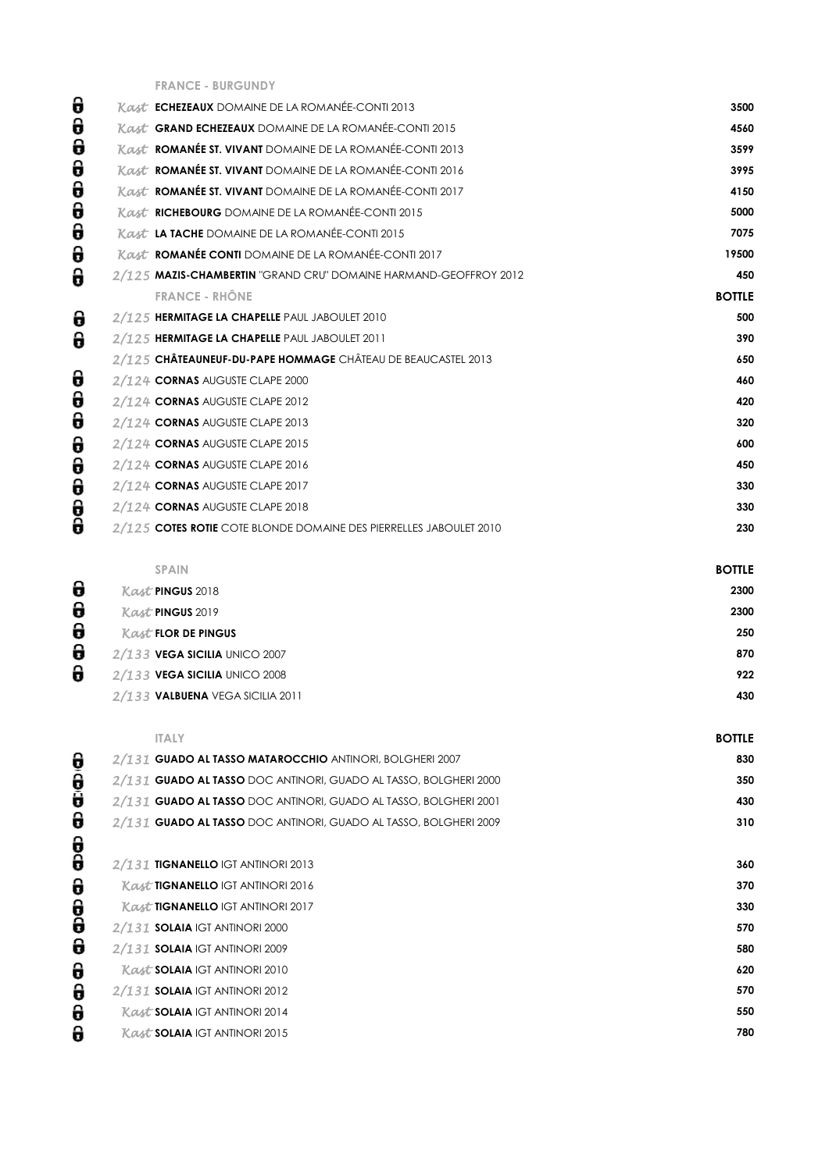**FRANCE - BURGUNDY**

| Kast <b>ECHEZEAUX</b> DOMAINE DE LA ROMANÉE-CONTI 2013             | 3500          |
|--------------------------------------------------------------------|---------------|
| Kast GRAND ECHEZEAUX DOMAINE DE LA ROMANÉE-CONTI 2015              | 4560          |
| Kast <b>ROMANÉE ST. VIVANT</b> DOMAINE DE LA ROMANÉE-CONTI 2013    | 3599          |
| Kast <b>ROMANÉE ST. VIVANT</b> DOMAINE DE LA ROMANÉE-CONTI 2016    | 3995          |
| Kast ROMANÉE ST. VIVANT DOMAINE DE LA ROMANÉE-CONTI 2017           | 4150          |
| Kast RICHEBOURG DOMAINE DE LA ROMANÉE-CONTI 2015                   | 5000          |
| Kast LA TACHE DOMAINE DE LA ROMANÉE-CONTI 2015                     | 7075          |
| Kast ROMANÉE CONTI DOMAINE DE LA ROMANÉE-CONTI 2017                | 19500         |
| 2/125 MAZIS-CHAMBERTIN "GRAND CRU" DOMAINE HARMAND-GEOFFROY 2012   | 450           |
| <b>FRANCE - RHÔNE</b>                                              | <b>BOTTLE</b> |
| 2/125 HERMITAGE LA CHAPELLE PAUL JABOULET 2010                     | 500           |
| 2/125 HERMITAGE LA CHAPELLE PAUL JABOULET 2011                     | 390           |
| 2/125 CHÂTEAUNEUF-DU-PAPE HOMMAGE CHÂTEAU DE BEAUCASTEL 2013       | 650           |
| 2/124 CORNAS AUGUSTE CLAPE 2000                                    | 460           |
| 2/124 CORNAS AUGUSTE CLAPE 2012                                    | 420           |
| 2/124 CORNAS AUGUSTE CLAPE 2013                                    | 320           |
| 2/124 CORNAS AUGUSTE CLAPE 2015                                    | 600           |
| 2/124 CORNAS AUGUSTE CLAPE 2016                                    | 450           |
| 2/124 CORNAS AUGUSTE CLAPE 2017                                    | 330           |
| 2/124 CORNAS AUGUSTE CLAPE 2018                                    | 330           |
| 2/125 COTES ROTIE COTE BLONDE DOMAINE DES PIERRELLES JABOULET 2010 | 230           |
|                                                                    |               |

|   | <b>SPAIN</b>                     | <b>BOTTLE</b> |
|---|----------------------------------|---------------|
| 0 | <b>Kast PINGUS 2018</b>          | 2300          |
| 0 | <b>Kast PINGUS 2019</b>          | 2300          |
| 0 | <b>Kast FLOR DE PINGUS</b>       | 250           |
| 0 | 2/133 VEGA SICILIA UNICO 2007    | 870           |
| 8 | 2/133 VEGA SICILIA UNICO 2008    | 922           |
|   | 2/133 VALBUENA VEGA SICILIA 2011 | 430           |
|   |                                  |               |

| <b>ITALY</b>                                                     | <b>BOTTLE</b> |
|------------------------------------------------------------------|---------------|
| 2/131 GUADO AL TASSO MATAROCCHIO ANTINORI, BOLGHERI 2007         | 830           |
| 2/131 GUADO AL TASSO DOC ANTINORI, GUADO AL TASSO, BOLGHERI 2000 | 350           |
| 2/131 GUADO AL TASSO DOC ANTINORI, GUADO AL TASSO, BOLGHERI 2001 | 430           |
| 2/131 GUADO AL TASSO DOC ANTINORI, GUADO AL TASSO, BOLGHERI 2009 | 310           |
|                                                                  |               |
| 2/131 TIGNANELLO IGT ANTINORI 2013                               | 360           |
| <b>Kast TIGNANELLO IGT ANTINORI 2016</b>                         | 370           |
| <b>Kast TIGNANELLO IGT ANTINORI 2017</b>                         | 330           |
| 2/131 SOLAIA IGT ANTINORI 2000                                   | 570           |
| 2/131 SOLAIA IGT ANTINORI 2009                                   | 580           |
| <b>Kast SOLAIA IGT ANTINORI 2010</b>                             | 620           |
| 2/131 SOLAIA IGT ANTINORI 2012                                   | 570           |
| <b>Kast SOLAIA IGT ANTINORI 2014</b>                             | 550           |
| <b>Kast SOLAIA IGT ANTINORI 2015</b>                             | 780           |

ආආආ ආ ආආ ආ ආ ආ ආ ආ